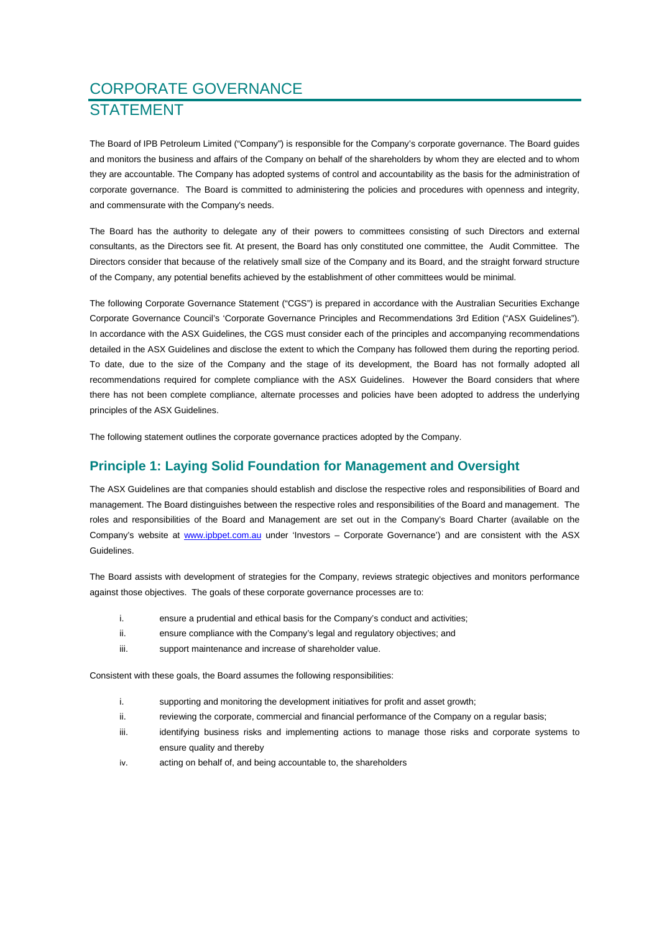# CORPORATE GOVERNANCE **STATEMENT**

The Board of IPB Petroleum Limited ("Company") is responsible for the Company's corporate governance. The Board guides and monitors the business and affairs of the Company on behalf of the shareholders by whom they are elected and to whom they are accountable. The Company has adopted systems of control and accountability as the basis for the administration of corporate governance. The Board is committed to administering the policies and procedures with openness and integrity, and commensurate with the Company's needs.

The Board has the authority to delegate any of their powers to committees consisting of such Directors and external consultants, as the Directors see fit. At present, the Board has only constituted one committee, the Audit Committee. The Directors consider that because of the relatively small size of the Company and its Board, and the straight forward structure of the Company, any potential benefits achieved by the establishment of other committees would be minimal.

The following Corporate Governance Statement ("CGS") is prepared in accordance with the Australian Securities Exchange Corporate Governance Council's 'Corporate Governance Principles and Recommendations 3rd Edition ("ASX Guidelines"). In accordance with the ASX Guidelines, the CGS must consider each of the principles and accompanying recommendations detailed in the ASX Guidelines and disclose the extent to which the Company has followed them during the reporting period. To date, due to the size of the Company and the stage of its development, the Board has not formally adopted all recommendations required for complete compliance with the ASX Guidelines. However the Board considers that where there has not been complete compliance, alternate processes and policies have been adopted to address the underlying principles of the ASX Guidelines.

The following statement outlines the corporate governance practices adopted by the Company.

### **Principle 1: Laying Solid Foundation for Management and Oversight**

The ASX Guidelines are that companies should establish and disclose the respective roles and responsibilities of Board and management. The Board distinguishes between the respective roles and responsibilities of the Board and management. The roles and responsibilities of the Board and Management are set out in the Company's Board Charter (available on the Company's website at www.ipbpet.com.au under 'Investors – Corporate Governance') and are consistent with the ASX Guidelines.

The Board assists with development of strategies for the Company, reviews strategic objectives and monitors performance against those objectives. The goals of these corporate governance processes are to:

- i. ensure a prudential and ethical basis for the Company's conduct and activities;
- ii. ensure compliance with the Company's legal and regulatory objectives; and
- iii. support maintenance and increase of shareholder value.

Consistent with these goals, the Board assumes the following responsibilities:

- i. supporting and monitoring the development initiatives for profit and asset growth;
- ii. reviewing the corporate, commercial and financial performance of the Company on a regular basis;
- iii. iii. identifying business risks and implementing actions to manage those risks and corporate systems to ensure quality and thereby
- iv. acting on behalf of, and being accountable to, the shareholders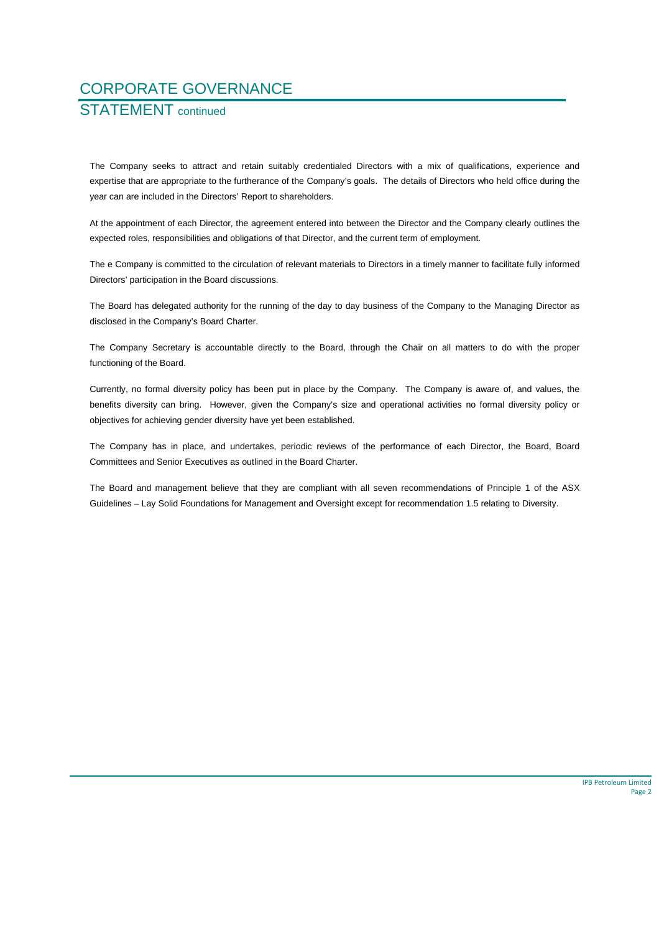# STATEMENT continued

The Company seeks to attract and retain suitably credentialed Directors with a mix of qualifications, experience and expertise that are appropriate to the furtherance of the Company's goals. The details of Directors who held office during the year can are included in the Directors' Report to shareholders.

At the appointment of each Director, the agreement entered into between the Director and the Company clearly outlines the expected roles, responsibilities and obligations of that Director, and the current term of employment.

The e Company is committed to the circulation of relevant materials to Directors in a timely manner to facilitate fully informed Directors' participation in the Board discussions.

The Board has delegated authority for the running of the day to day business of the Company to the Managing Director as disclosed in the Company's Board Charter.

The Company Secretary is accountable directly to the Board, through the Chair on all matters to do with the proper functioning of the Board.

Currently, no formal diversity policy has been put in place by the Company. The Company is aware of, and values, the benefits diversity can bring. However, given the Company's size and operational activities no formal diversity policy or objectives for achieving gender diversity have yet been established.

The Company has in place, and undertakes, periodic reviews of the performance of each Director, the Board, Board Committees and Senior Executives as outlined in the Board Charter.

The Board and management believe that they are compliant with all seven recommendations of Principle 1 of the ASX Guidelines – Lay Solid Foundations for Management and Oversight except for recommendation 1.5 relating to Diversity.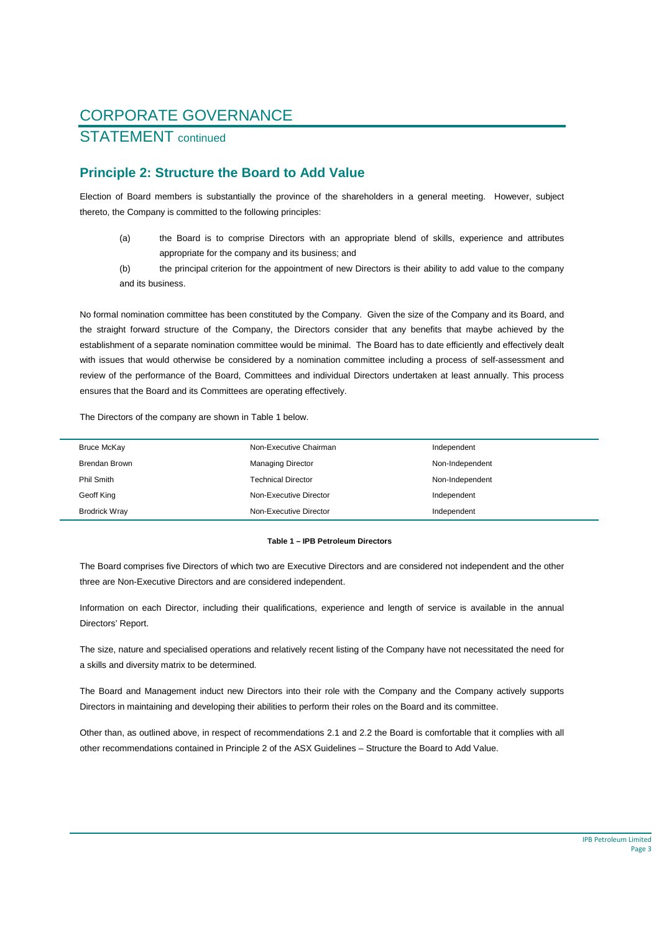### STATEMENT continued

### **Principle 2: Structure the Board to Add Value**

Election of Board members is substantially the province of the shareholders in a general meeting. However, subject thereto, the Company is committed to the following principles:

- (a) the Board is to comprise Directors with an appropriate blend of skills, experience and attributes appropriate for the company and its business; and
- (b) the principal criterion for the appointment of new Directors is their ability to add value to the company and its business.

No formal nomination committee has been constituted by the Company. Given the size of the Company and its Board, and the straight forward structure of the Company, the Directors consider that any benefits that maybe achieved by the establishment of a separate nomination committee would be minimal. The Board has to date efficiently and effectively dealt with issues that would otherwise be considered by a nomination committee including a process of self-assessment and review of the performance of the Board, Committees and individual Directors undertaken at least annually. This process ensures that the Board and its Committees are operating effectively.

The Directors of the company are shown in Table 1 below.

| Bruce McKay          | Non-Executive Chairman    | Independent     |
|----------------------|---------------------------|-----------------|
| Brendan Brown        | <b>Managing Director</b>  | Non-Independent |
| Phil Smith           | <b>Technical Director</b> | Non-Independent |
| Geoff King           | Non-Executive Director    | Independent     |
| <b>Brodrick Wray</b> | Non-Executive Director    | Independent     |

#### **Table 1 – IPB Petroleum Directors**

The Board comprises five Directors of which two are Executive Directors and are considered not independent and the other three are Non-Executive Directors and are considered independent.

Information on each Director, including their qualifications, experience and length of service is available in the annual Directors' Report.

The size, nature and specialised operations and relatively recent listing of the Company have not necessitated the need for a skills and diversity matrix to be determined.

The Board and Management induct new Directors into their role with the Company and the Company actively supports Directors in maintaining and developing their abilities to perform their roles on the Board and its committee.

Other than, as outlined above, in respect of recommendations 2.1 and 2.2 the Board is comfortable that it complies with all other recommendations contained in Principle 2 of the ASX Guidelines – Structure the Board to Add Value.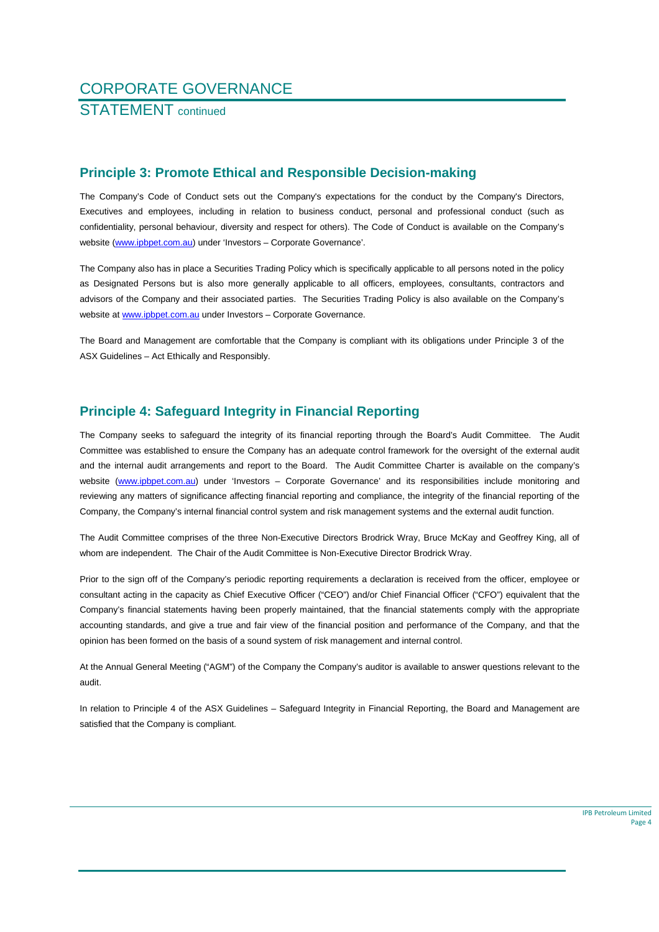STATEMENT continued

#### **Principle 3: Promote Ethical and Responsible Decision-making**

The Company's Code of Conduct sets out the Company's expectations for the conduct by the Company's Directors, Executives and employees, including in relation to business conduct, personal and professional conduct (such as confidentiality, personal behaviour, diversity and respect for others). The Code of Conduct is available on the Company's website (www.ipbpet.com.au) under 'Investors – Corporate Governance'.

The Company also has in place a Securities Trading Policy which is specifically applicable to all persons noted in the policy as Designated Persons but is also more generally applicable to all officers, employees, consultants, contractors and advisors of the Company and their associated parties. The Securities Trading Policy is also available on the Company's website at www.ipbpet.com.au under Investors - Corporate Governance.

The Board and Management are comfortable that the Company is compliant with its obligations under Principle 3 of the ASX Guidelines – Act Ethically and Responsibly.

### **Principle 4: Safeguard Integrity in Financial Reporting**

The Company seeks to safeguard the integrity of its financial reporting through the Board's Audit Committee. The Audit Committee was established to ensure the Company has an adequate control framework for the oversight of the external audit and the internal audit arrangements and report to the Board. The Audit Committee Charter is available on the company's website (www.ipbpet.com.au) under 'Investors - Corporate Governance' and its responsibilities include monitoring and reviewing any matters of significance affecting financial reporting and compliance, the integrity of the financial reporting of the Company, the Company's internal financial control system and risk management systems and the external audit function.

The Audit Committee comprises of the three Non-Executive Directors Brodrick Wray, Bruce McKay and Geoffrey King, all of whom are independent. The Chair of the Audit Committee is Non-Executive Director Brodrick Wray.

Prior to the sign off of the Company's periodic reporting requirements a declaration is received from the officer, employee or consultant acting in the capacity as Chief Executive Officer ("CEO") and/or Chief Financial Officer ("CFO") equivalent that the Company's financial statements having been properly maintained, that the financial statements comply with the appropriate accounting standards, and give a true and fair view of the financial position and performance of the Company, and that the opinion has been formed on the basis of a sound system of risk management and internal control.

At the Annual General Meeting ("AGM") of the Company the Company's auditor is available to answer questions relevant to the audit.

In relation to Principle 4 of the ASX Guidelines – Safeguard Integrity in Financial Reporting, the Board and Management are satisfied that the Company is compliant.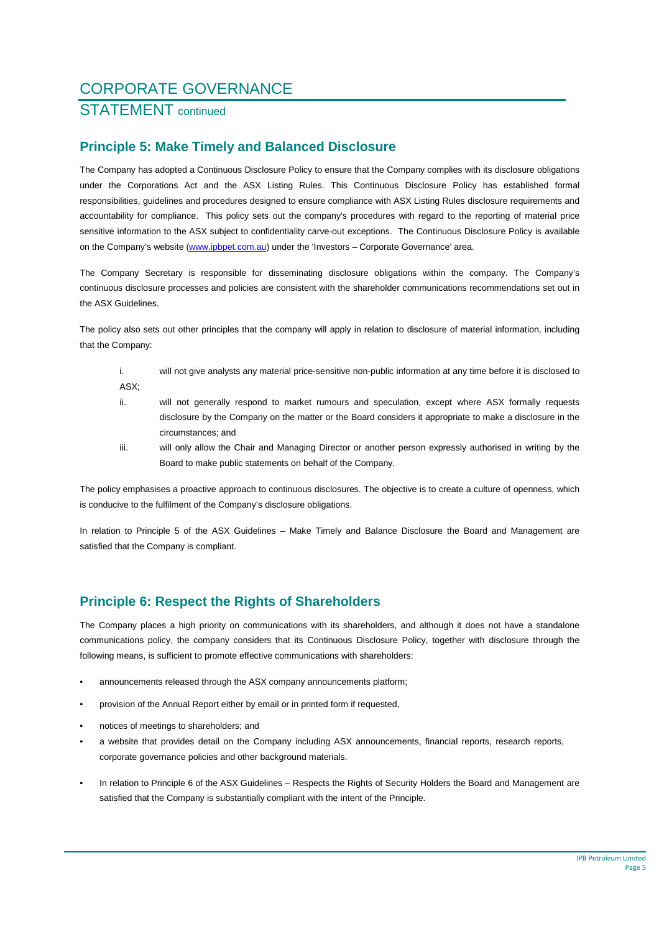### STATEMENT continued

### **Principle 5: Make Timely and Balanced Disclosure**

The Company has adopted a Continuous Disclosure Policy to ensure that the Company complies with its disclosure obligations under the Corporations Act and the ASX Listing Rules. This Continuous Disclosure Policy has established formal responsibilities, guidelines and procedures designed to ensure compliance with ASX Listing Rules disclosure requirements and accountability for compliance. This policy sets out the company's procedures with regard to the reporting of material price sensitive information to the ASX subject to confidentiality carve-out exceptions. The Continuous Disclosure Policy is available on the Company's website (www.ipbpet.com.au) under the 'Investors – Corporate Governance' area.

The Company Secretary is responsible for disseminating disclosure obligations within the company. The Company's continuous disclosure processes and policies are consistent with the shareholder communications recommendations set out in the ASX Guidelines.

The policy also sets out other principles that the company will apply in relation to disclosure of material information, including that the Company:

- i. will not give analysts any material price-sensitive non-public information at any time before it is disclosed to ASX;
- ii. will not generally respond to market rumours and speculation, except where ASX formally requests disclosure by the Company on the matter or the Board considers it appropriate to make a disclosure in the circumstances; and
- iii. will only allow the Chair and Managing Director or another person expressly authorised in writing by the Board to make public statements on behalf of the Company.

The policy emphasises a proactive approach to continuous disclosures. The objective is to create a culture of openness, which is conducive to the fulfilment of the Company's disclosure obligations.

In relation to Principle 5 of the ASX Guidelines – Make Timely and Balance Disclosure the Board and Management are satisfied that the Company is compliant.

### **Principle 6: Respect the Rights of Shareholders**

The Company places a high priority on communications with its shareholders, and although it does not have a standalone communications policy, the company considers that its Continuous Disclosure Policy, together with disclosure through the following means, is sufficient to promote effective communications with shareholders:

- announcements released through the ASX company announcements platform;
- provision of the Annual Report either by email or in printed form if requested,
- notices of meetings to shareholders; and
- a website that provides detail on the Company including ASX announcements, financial reports, research reports, corporate governance policies and other background materials.
- In relation to Principle 6 of the ASX Guidelines Respects the Rights of Security Holders the Board and Management are satisfied that the Company is substantially compliant with the intent of the Principle.